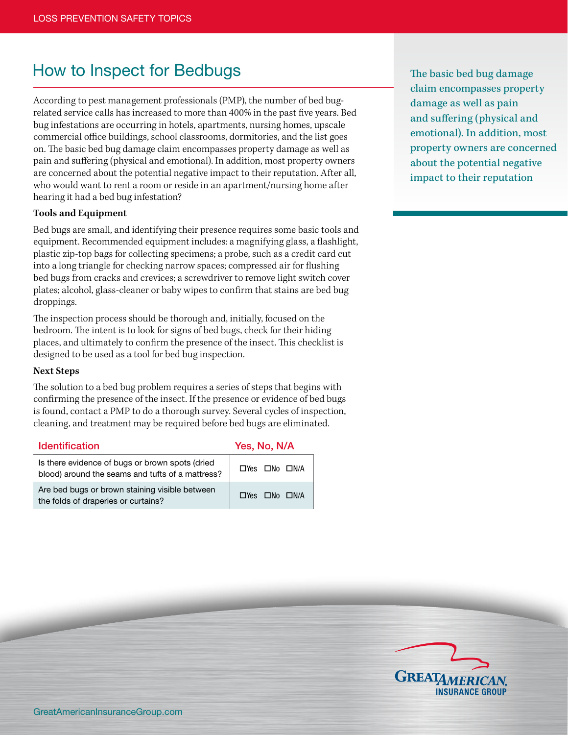## How to Inspect for Bedbugs

According to pest management professionals (PMP), the number of bed bugrelated service calls has increased to more than 400% in the past five years. Bed bug infestations are occurring in hotels, apartments, nursing homes, upscale commercial office buildings, school classrooms, dormitories, and the list goes on. The basic bed bug damage claim encompasses property damage as well as pain and suffering (physical and emotional). In addition, most property owners are concerned about the potential negative impact to their reputation. After all, who would want to rent a room or reside in an apartment/nursing home after hearing it had a bed bug infestation?

## **Tools and Equipment**

Bed bugs are small, and identifying their presence requires some basic tools and equipment. Recommended equipment includes: a magnifying glass, a flashlight, plastic zip-top bags for collecting specimens; a probe, such as a credit card cut into a long triangle for checking narrow spaces; compressed air for flushing bed bugs from cracks and crevices; a screwdriver to remove light switch cover plates; alcohol, glass-cleaner or baby wipes to confirm that stains are bed bug droppings.

The inspection process should be thorough and, initially, focused on the bedroom. The intent is to look for signs of bed bugs, check for their hiding places, and ultimately to confirm the presence of the insect. This checklist is designed to be used as a tool for bed bug inspection.

## **Next Steps**

The solution to a bed bug problem requires a series of steps that begins with confirming the presence of the insect. If the presence or evidence of bed bugs is found, contact a PMP to do a thorough survey. Several cycles of inspection, cleaning, and treatment may be required before bed bugs are eliminated.

| <b>Identification</b>                                                                               | Yes, No, N/A                    |  |  |
|-----------------------------------------------------------------------------------------------------|---------------------------------|--|--|
| Is there evidence of bugs or brown spots (dried<br>blood) around the seams and tufts of a mattress? | $\Box$ Yes $\Box$ No $\Box$ N/A |  |  |
| Are bed bugs or brown staining visible between<br>the folds of draperies or curtains?               | $\Box$ Yes $\Box$ No $\Box$ N/A |  |  |

The basic bed bug damage claim encompasses property damage as well as pain and suffering (physical and emotional). In addition, most property owners are concerned about the potential negative impact to their reputation